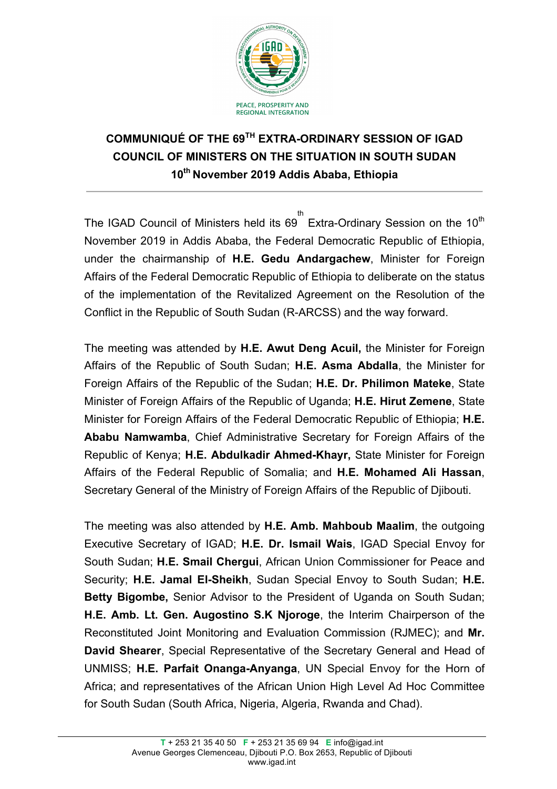

## **COMMUNIQUÉ OF THE 69TH EXTRA-ORDINARY SESSION OF IGAD COUNCIL OF MINISTERS ON THE SITUATION IN SOUTH SUDAN 10th November 2019 Addis Ababa, Ethiopia**

The IGAD Council of Ministers held its 69 Extra-Ordinary Session on the 10<sup>th</sup> th November 2019 in Addis Ababa, the Federal Democratic Republic of Ethiopia, under the chairmanship of **H.E. Gedu Andargachew**, Minister for Foreign Affairs of the Federal Democratic Republic of Ethiopia to deliberate on the status of the implementation of the Revitalized Agreement on the Resolution of the Conflict in the Republic of South Sudan (R-ARCSS) and the way forward.

The meeting was attended by **H.E. Awut Deng Acuil,** the Minister for Foreign Affairs of the Republic of South Sudan; **H.E. Asma Abdalla**, the Minister for Foreign Affairs of the Republic of the Sudan; **H.E. Dr. Philimon Mateke**, State Minister of Foreign Affairs of the Republic of Uganda; **H.E. Hirut Zemene**, State Minister for Foreign Affairs of the Federal Democratic Republic of Ethiopia; **H.E. Ababu Namwamba**, Chief Administrative Secretary for Foreign Affairs of the Republic of Kenya; **H.E. Abdulkadir Ahmed-Khayr,** State Minister for Foreign Affairs of the Federal Republic of Somalia; and **H.E. Mohamed Ali Hassan**, Secretary General of the Ministry of Foreign Affairs of the Republic of Djibouti.

The meeting was also attended by **H.E. Amb. Mahboub Maalim**, the outgoing Executive Secretary of IGAD; **H.E. Dr. Ismail Wais**, IGAD Special Envoy for South Sudan; **H.E. Smail Chergui**, African Union Commissioner for Peace and Security; **H.E. Jamal El-Sheikh**, Sudan Special Envoy to South Sudan; **H.E. Betty Bigombe,** Senior Advisor to the President of Uganda on South Sudan; **H.E. Amb. Lt. Gen. Augostino S.K Njoroge**, the Interim Chairperson of the Reconstituted Joint Monitoring and Evaluation Commission (RJMEC); and **Mr. David Shearer**, Special Representative of the Secretary General and Head of UNMISS; **H.E. Parfait Onanga-Anyanga**, UN Special Envoy for the Horn of Africa; and representatives of the African Union High Level Ad Hoc Committee for South Sudan (South Africa, Nigeria, Algeria, Rwanda and Chad).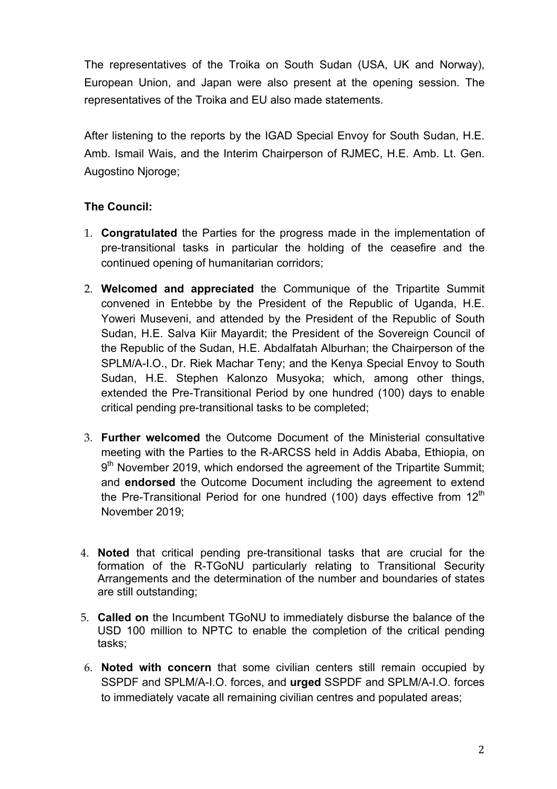The representatives of the Troika on South Sudan (USA, UK and Norway), European Union, and Japan were also present at the opening session. The representatives of the Troika and EU also made statements.

After listening to the reports by the IGAD Special Envoy for South Sudan, H.E. Amb. Ismail Wais, and the Interim Chairperson of RJMEC, H.E. Amb. Lt. Gen. Augostino Njoroge;

## **The Council:**

- 1. **Congratulated** the Parties for the progress made in the implementation of pre-transitional tasks in particular the holding of the ceasefire and the continued opening of humanitarian corridors;
- 2. **Welcomed and appreciated** the Communique of the Tripartite Summit convened in Entebbe by the President of the Republic of Uganda, H.E. Yoweri Museveni, and attended by the President of the Republic of South Sudan, H.E. Salva Kiir Mavardit; the President of the Sovereign Council of the Republic of the Sudan, H.E. Abdalfatah Alburhan; the Chairperson of the SPLM/A-I.O., Dr. Riek Machar Teny; and the Kenya Special Envoy to South Sudan, H.E. Stephen Kalonzo Musyoka; which, among other things, extended the Pre-Transitional Period by one hundred (100) days to enable critical pending pre-transitional tasks to be completed;
- 3. **Further welcomed** the Outcome Document of the Ministerial consultative meeting with the Parties to the R-ARCSS held in Addis Ababa, Ethiopia, on 9<sup>th</sup> November 2019, which endorsed the agreement of the Tripartite Summit; and **endorsed** the Outcome Document including the agreement to extend the Pre-Transitional Period for one hundred (100) days effective from 12<sup>th</sup> November 2019;
- 4. **Noted** that critical pending pre-transitional tasks that are crucial for the formation of the R-TGoNU particularly relating to Transitional Security Arrangements and the determination of the number and boundaries of states are still outstanding;
- 5. **Called on** the Incumbent TGoNU to immediately disburse the balance of the USD 100 million to NPTC to enable the completion of the critical pending tasks;
- 6. **Noted with concern** that some civilian centers still remain occupied by SSPDF and SPLM/A-I.O. forces, and **urged** SSPDF and SPLM/A-I.O. forces to immediately vacate all remaining civilian centres and populated areas;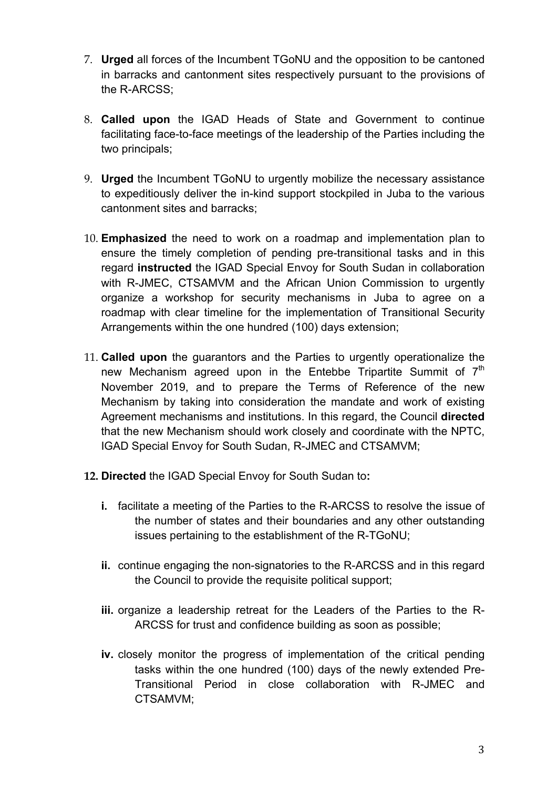- 7. **Urged** all forces of the Incumbent TGoNU and the opposition to be cantoned in barracks and cantonment sites respectively pursuant to the provisions of the R-ARCSS;
- 8. **Called upon** the IGAD Heads of State and Government to continue facilitating face-to-face meetings of the leadership of the Parties including the two principals;
- 9. **Urged** the Incumbent TGoNU to urgently mobilize the necessary assistance to expeditiously deliver the in-kind support stockpiled in Juba to the various cantonment sites and barracks;
- 10. **Emphasized** the need to work on a roadmap and implementation plan to ensure the timely completion of pending pre-transitional tasks and in this regard **instructed** the IGAD Special Envoy for South Sudan in collaboration with R-JMEC, CTSAMVM and the African Union Commission to urgently organize a workshop for security mechanisms in Juba to agree on a roadmap with clear timeline for the implementation of Transitional Security Arrangements within the one hundred (100) days extension;
- 11. **Called upon** the guarantors and the Parties to urgently operationalize the new Mechanism agreed upon in the Entebbe Tripartite Summit of  $7<sup>th</sup>$ November 2019, and to prepare the Terms of Reference of the new Mechanism by taking into consideration the mandate and work of existing Agreement mechanisms and institutions. In this regard, the Council **directed** that the new Mechanism should work closely and coordinate with the NPTC, IGAD Special Envoy for South Sudan, R-JMEC and CTSAMVM;
- **12. Directed** the IGAD Special Envoy for South Sudan to**:** 
	- **i.** facilitate a meeting of the Parties to the R-ARCSS to resolve the issue of the number of states and their boundaries and any other outstanding issues pertaining to the establishment of the R-TGoNU;
	- **ii.** continue engaging the non-signatories to the R-ARCSS and in this regard the Council to provide the requisite political support;
	- **iii.** organize a leadership retreat for the Leaders of the Parties to the R-ARCSS for trust and confidence building as soon as possible;
	- **iv.** closely monitor the progress of implementation of the critical pending tasks within the one hundred (100) days of the newly extended Pre-Transitional Period in close collaboration with R-JMEC and CTSAMVM;